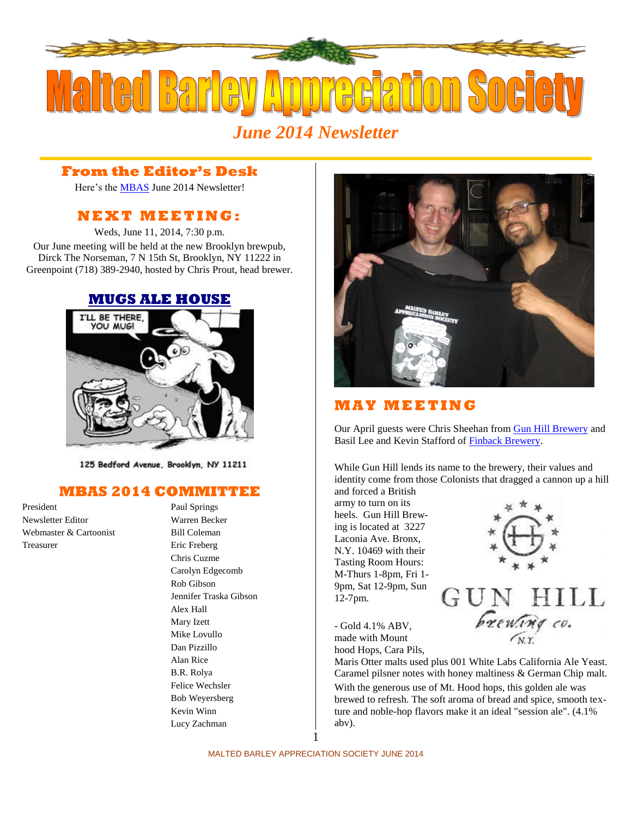

### **From the Editor's Desk**

Here's the [MBAS](http://hbd.org/mbas) June 2014 Newsletter!

## **N E X T M E ETI N G :**

Weds, June 11, 2014, 7:30 p.m. Our June meeting will be held at the new Brooklyn brewpub, Dirck The Norseman, 7 N 15th St, Brooklyn, NY 11222 in Greenpoint (718) 389-2940, hosted by Chris Prout, head brewer.



125 Bedford Avenue, Brooklyn, NY 11211

## **MBAS 2014 COMMITTEE**

President Paul Springs Newsletter Editor Warren Becker Webmaster & Cartoonist Bill Coleman Treasurer Eric Freberg

## Chris Cuzme Carolyn Edgecomb Rob Gibson Jennifer Traska Gibson Alex Hall Mary Izett Mike Lovullo Dan Pizzillo Alan Rice B.R. Rolya Felice Wechsler Bob Weyersberg Kevin Winn Lucy Zachman



## **M A Y M E ETI N G**

Our April guests were Chris Sheehan from **Gun Hill Brewery** and Basil Lee and Kevin Stafford of [Finback Brewery.](http://www.finbackbrewery.com/home.html)

While Gun Hill lends its name to the brewery, their values and identity come from those Colonists that dragged a cannon up a hill and forced a British

army to turn on its heels. Gun Hill Brewing is located at 3227 Laconia Ave. Bronx, N.Y. 10469 with their Tasting Room Hours: M-Thurs 1-8pm, Fri 1- 9pm, Sat 12-9pm, Sun 12-7pm.



- Gold 4.1% ABV, made with Mount hood Hops, Cara Pils,

Maris Otter malts used plus 001 White Labs California Ale Yeast. Caramel pilsner notes with honey maltiness & German Chip malt. With the generous use of Mt. Hood hops, this golden ale was brewed to refresh. The soft aroma of bread and spice, smooth texture and noble-hop flavors make it an ideal "session ale". (4.1% abv).